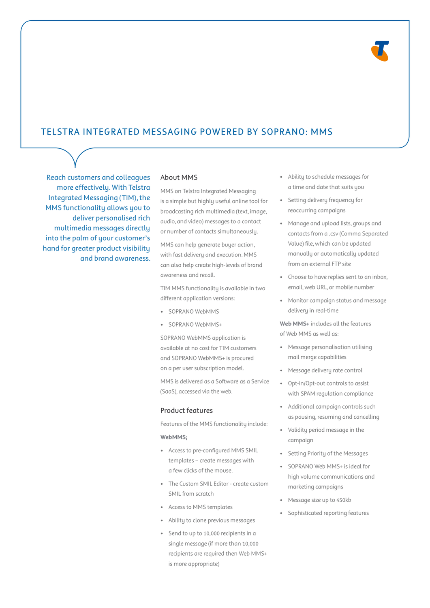# Telstra Integrated Messaging powered by Soprano: MMS

Reach customers and colleagues more effectively. With Telstra Integrated Messaging (TIM), the MMS functionality allows you to deliver personalised rich multimedia messages directly into the palm of your customer's hand for greater product visibility and brand awareness.

### About MMS

MMS on Telstra Integrated Messaging is a simple but highly useful online tool for broadcasting rich multimedia (text, image, audio, and video) messages to a contact or number of contacts simultaneously.

MMS can help generate buyer action, with fast delivery and execution. MMS can also help create high-levels of brand awareness and recall.

TIM MMS functionality is available in two different application versions:

- SOPRANO WebMMS
- SOPRANO WebMMS+

SOPRANO WebMMS application is available at no cost for TIM customers and SOPRANO WebMMS+ is procured on a per user subscription model.

MMS is delivered as a Software as a Service (SaaS), accessed via the web.

# Product features

Features of the MMS functionality include:

#### **WebMMS;**

- Access to pre-configured MMS SMIL templates – create messages with a few clicks of the mouse.
- The Custom SMIL Editor create custom SMIL from scratch
- Access to MMS templates
- Ability to clone previous messages
- Send to up to 10,000 recipients in a single message (if more than 10,000 recipients are required then Web MMS+ is more appropriate)
- Ability to schedule messages for a time and date that suits you
- Setting delivery frequency for reoccurring campaigns
- Manage and upload lists, groups and contacts from a .csv (Comma Separated Value) file, which can be updated manually or automatically updated from an external FTP site
- Choose to have replies sent to an inbox, email, web URL, or mobile number
- Monitor campaign status and message delivery in real-time

**Web MMS+** includes all the features of Web MMS as well as:

- Message personalisation utilising mail merge capabilities
- Message delivery rate control
- Opt-in/Opt-out controls to assist with SPAM regulation compliance
- Additional campaign controls such as pausing, resuming and cancelling
- Validity period message in the campaign
- Setting Priority of the Messages
- SOPRANO Web MMS+ is ideal for high volume communications and marketing campaigns
- Message size up to 450kb
- Sophisticated reporting features